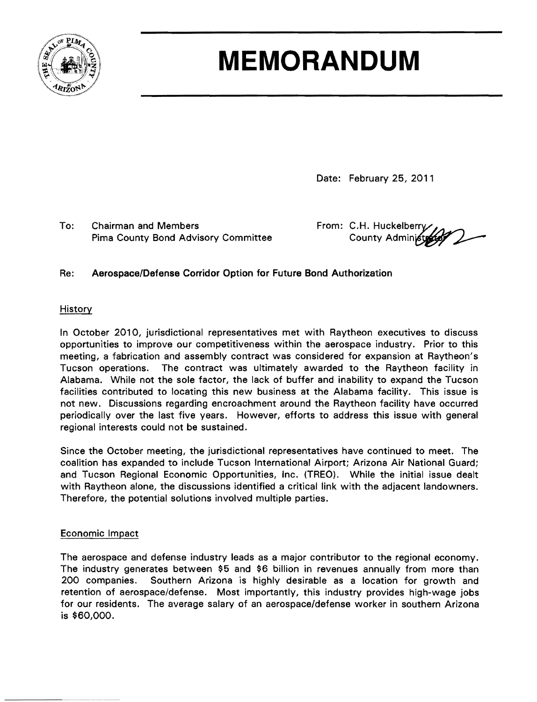

# **MEMORANDUM**

Date: February 25, 2011

To: Chairman and Members From: C.H. Huckelberry Pima County Bond Advisory Committee County Administ

#### Re: Aerospace/Defense Corridor Option for Future Bond Authorization

#### History

In October 2010, jurisdictional representatives met with Raytheon executives to discuss opportunities to improve our competitiveness within the aerospace industry. Prior to this meeting, a fabrication and assembly contract was considered for expansion at Raytheon's Tucson operations. The contract was ultimately awarded to the Raytheon facility in Alabama. While not the sole factor, the lack of buffer and inability to expand the Tucson facilities contributed to locating this new business at the Alabama facility. This issue is not new. Discussions regarding encroachment around the Raytheon facility have occurred periodically over the last five years. However, efforts to address this issue with general regional interests could not be sustained.

Since the October meeting, the jurisdictional representatives have continued to meet. The coalition has expanded to include Tucson International Airport; Arizona Air National Guard; and Tucson Regional Economic Opportunities, Inc. (TREO). While the initial issue dealt with Raytheon alone, the discussions identified a critical link with the adjacent landowners. Therefore, the potential solutions involved multiple parties.

#### Economic Impact

--------

-------\_.....

The aerospace and defense industry leads as a major contributor to the regional economy. The industry generates between \$5 and \$6 billion in revenues annually from more than 200 companies. Southern Arizona is highly desirable as a location for growth and retention of aerospace/defense. Most importantly, this industry provides high-wage jobs for our residents. The average salary of an aerospace/defense worker in southern Arizona is \$60,000.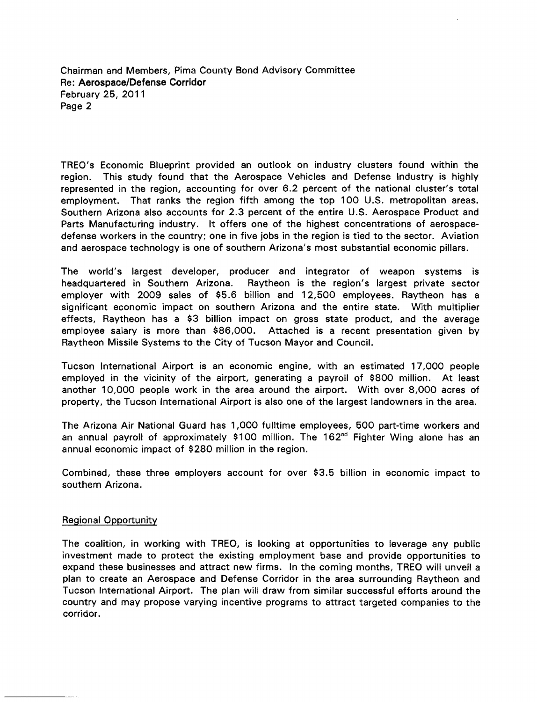Chairman and Members, Pima County Bond Advisory Committee Re: Aerospace/Defense Corridor February 25, 2011 Page 2

TREO's Economic Blueprint provided an outlook on industry clusters found within the region. This study found that the Aerospace Vehicles and Defense Industry is highly represented in the region, accounting for over 6.2 percent of the national cluster's total employment. That ranks the region fifth among the top 100 U.S. metropolitan areas. Southern Arizona also accounts for 2.3 percent of the entire U.S. Aerospace Product and Parts Manufacturing industry. It offers one of the highest concentrations of aerospacedefense workers in the country; one in five jobs in the region is tied to the sector. Aviation and aerospace technology is one of southern Arizona's most substantial economic pillars.

The world's largest developer, producer and integrator of weapon systems is headquartered in Southern Arizona. Raytheon is the region's largest private sector employer with 2009 sales of \$5.6 billion and 12,500 employees. Raytheon has a significant economic impact on southern Arizona and the entire state. With multiplier effects, Raytheon has a \$3 billion impact on gross state product, and the average employee salary is more than \$86,000. Attached is a recent presentation given by Raytheon Missile Systems to the City of Tucson Mayor and Council.

Tucson International Airport is an economic engine, with an estimated 17,000 people employed in the vicinity of the airport, generating a payroll of \$800 million. At least another 10,000 people work in the area around the airport. With over 8,000 acres of property, the Tucson International Airport is also one of the largest landowners in the area.

The Arizona Air National Guard has 1,000 fulltime employees, 500 part-time workers and an annual payroll of approximately \$100 million. The 162<sup>nd</sup> Fighter Wing alone has an annual economic impact of \$280 million in the region.

Combined, these three employers account for over \$3.5 billion in economic impact to southern Arizona.

#### Regional Opportunity

The coalition, in working with TREO, is looking at opportunities to leverage any public investment made to protect the existing employment base and provide opportunities to expand these businesses and attract new firms. In the coming months, TREO will unveil a plan to create an Aerospace and Defense Corridor in the area surrounding Raytheon and Tucson International Airport. The plan will draw from similar successful efforts around the country and may propose varying incentive programs to attract targeted companies to the corridor.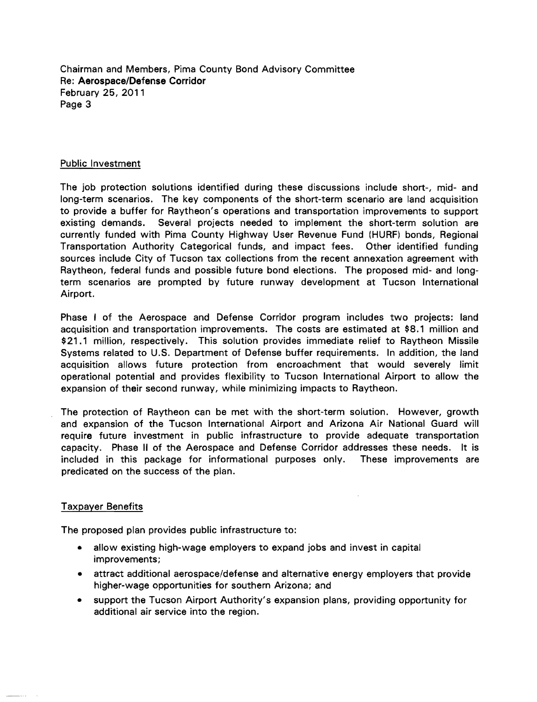Chairman and Members, Pima County Bond Advisory Committee Re: Aerospace/Defense Corridor February 25, 2011 Page 3

#### Public Investment

The job protection solutions identified during these discussions include short-, mid- and long-term scenarios. The key components of the short-term scenario are land acquisition to provide a buffer for Raytheon's operations and transportation improvements to support existing demands. Several projects needed to implement the short-term solution are currently funded with Pima County Highway User Revenue Fund (HURF) bonds, Regional Transportation Authority Categorical funds, and impact fees. Other identified funding sources include City of Tucson tax collections from the recent annexation agreement with Raytheon, federal funds and possible future bond elections. The proposed mid- and longterm scenarios are prompted by future runway development at Tucson International Airport.

Phase I of the Aerospace and Defense Corridor program includes two projects: land acquisition and transportation improvements. The costs are estimated at \$8.1 million and \$21.1 million, respectively. This solution provides immediate relief to Raytheon Missile Systems related to U.S. Department of Defense buffer requirements. In addition, the land acquisition allows future protection from encroachment that would severely limit operational potential and provides flexibility to Tucson International Airport to allow the expansion of their second runway, while minimizing impacts to Raytheon.

The protection of Raytheon can be met with the short-term solution. However, growth and expansion of the Tucson International Airport and Arizona Air National Guard will require future investment in public infrastructure to provide adequate transportation capacity. Phase II of the Aerospace and Defense Corridor addresses these needs. It is included in this package for informational purposes only. These improvements are predicated on the success of the plan.

#### Taxpayer Benefits

The proposed plan provides public infrastructure to:

- allow existing high-wage employers to expand jobs and invest in capital improvements;
- attract additional aerospace/defense and alternative energy employers that provide higher-wage opportunities for southern Arizona; and
- support the Tucson Airport Authority's expansion plans, providing opportunity for additional air service into the region.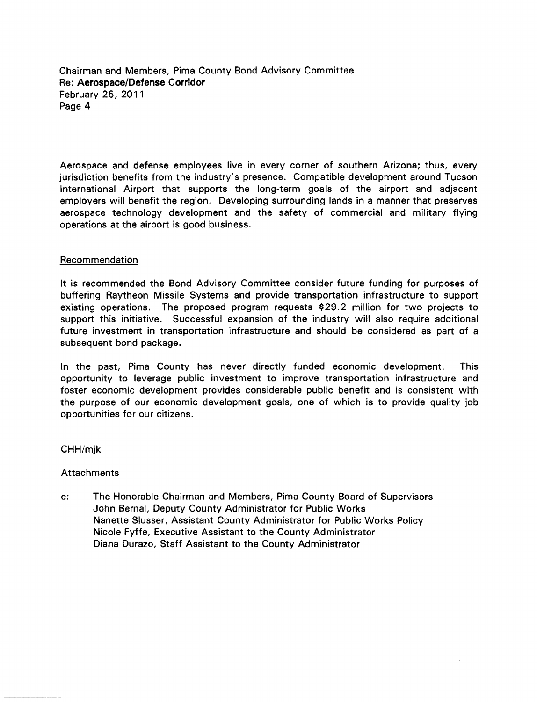Chairman and Members, Pima County Bond Advisory Committee Re: Aerospace/Defense Corridor February 25, 2011 Page 4

Aerospace and defense employees live in every corner of southern Arizona; thus, every jurisdiction benefits from the industry's presence. Compatible development around Tucson International Airport that supports the long-term goals of the airport and adjacent employers will benefit the region. Developing surrounding lands in a manner that preserves aerospace technology development and the safety of commercial and military flying operations at the airport is good business.

#### Recommendation

It is recommended the Bond Advisory Committee consider future funding for purposes of buffering Raytheon Missile Systems and provide transportation infrastructure to support existing operations. The proposed program requests \$29.2 million for two projects to support this initiative. Successful expansion of the industry will also require additional future investment in transportation infrastructure and should be considered as part of a subsequent bond package.

In the past, Pima County has never directly funded economic development. This opportunity to leverage public investment to improve transportation infrastructure and foster economic development provides considerable public benefit and is consistent with the purpose of our economic development goals, one of which is to provide quality job opportunities for our citizens.

#### CHH/mjk

#### Attachments

c: The Honorable Chairman and Members, Pima County Board of Supervisors John Bernal, Deputy County Administrator for Public Works Nanette Slusser, Assistant County Administrator for Public Works Policy Nicole Fyffe, Executive Assistant to the County Administrator Diana Durazo, Staff Assistant to the County Administrator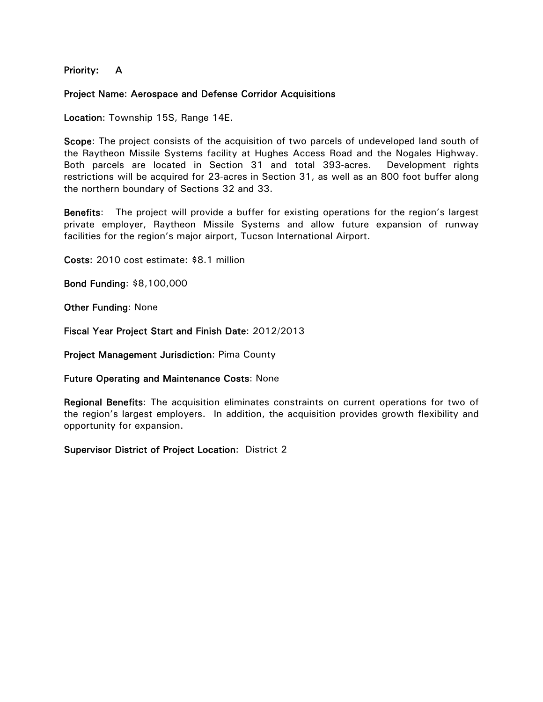Priority: A

#### Project Name: Aerospace and Defense Corridor Acquisitions

Location: Township 15S, Range 14E.

Scope: The project consists of the acquisition of two parcels of undeveloped land south of the Raytheon Missile Systems facility at Hughes Access Road and the Nogales Highway. Both parcels are located in Section 31 and total 393-acres. Development rights restrictions will be acquired for 23-acres in Section 31, as well as an 800 foot buffer along the northern boundary of Sections 32 and 33.

Benefits: The project will provide a buffer for existing operations for the region's largest private employer, Raytheon Missile Systems and allow future expansion of runway facilities for the region's major airport, Tucson International Airport.

Costs: 2010 cost estimate: \$8.1 million

Bond Funding: \$8,100,000

Other Funding: None

Fiscal Year Project Start and Finish Date: 2012/2013

Project Management Jurisdiction: Pima County

Future Operating and Maintenance Costs: None

Regional Benefits: The acquisition eliminates constraints on current operations for two of the region's largest employers. In addition, the acquisition provides growth flexibility and opportunity for expansion.

Supervisor District of Project Location: District 2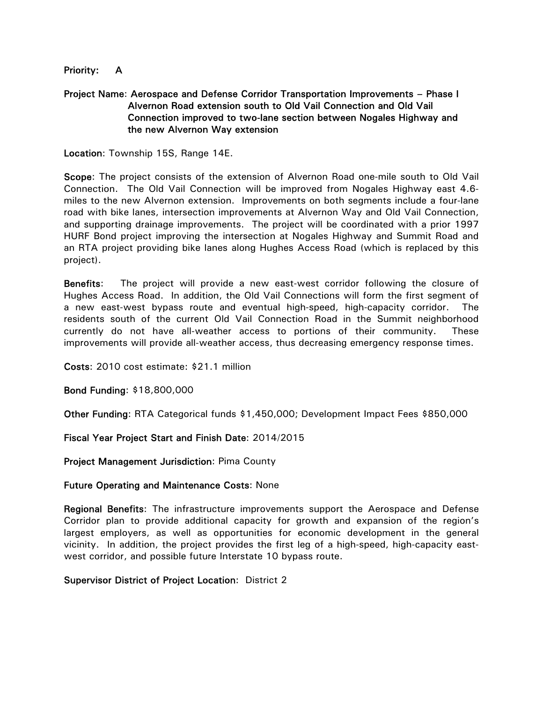#### Priority: A

#### Project Name: Aerospace and Defense Corridor Transportation Improvements – Phase I Alvernon Road extension south to Old Vail Connection and Old Vail Connection improved to two-lane section between Nogales Highway and the new Alvernon Way extension

Location: Township 15S, Range 14E.

Scope: The project consists of the extension of Alvernon Road one-mile south to Old Vail Connection. The Old Vail Connection will be improved from Nogales Highway east 4.6 miles to the new Alvernon extension. Improvements on both segments include a four-lane road with bike lanes, intersection improvements at Alvernon Way and Old Vail Connection, and supporting drainage improvements. The project will be coordinated with a prior 1997 HURF Bond project improving the intersection at Nogales Highway and Summit Road and an RTA project providing bike lanes along Hughes Access Road (which is replaced by this project).

Benefits: The project will provide a new east-west corridor following the closure of Hughes Access Road. In addition, the Old Vail Connections will form the first segment of a new east-west bypass route and eventual high-speed, high-capacity corridor. The residents south of the current Old Vail Connection Road in the Summit neighborhood currently do not have all-weather access to portions of their community. These improvements will provide all-weather access, thus decreasing emergency response times.

Costs: 2010 cost estimate: \$21.1 million

Bond Funding: \$18,800,000

Other Funding: RTA Categorical funds \$1,450,000; Development Impact Fees \$850,000

Fiscal Year Project Start and Finish Date: 2014/2015

Project Management Jurisdiction: Pima County

#### Future Operating and Maintenance Costs: None

Regional Benefits: The infrastructure improvements support the Aerospace and Defense Corridor plan to provide additional capacity for growth and expansion of the region's largest employers, as well as opportunities for economic development in the general vicinity. In addition, the project provides the first leg of a high-speed, high-capacity eastwest corridor, and possible future Interstate 10 bypass route.

#### Supervisor District of Project Location: District 2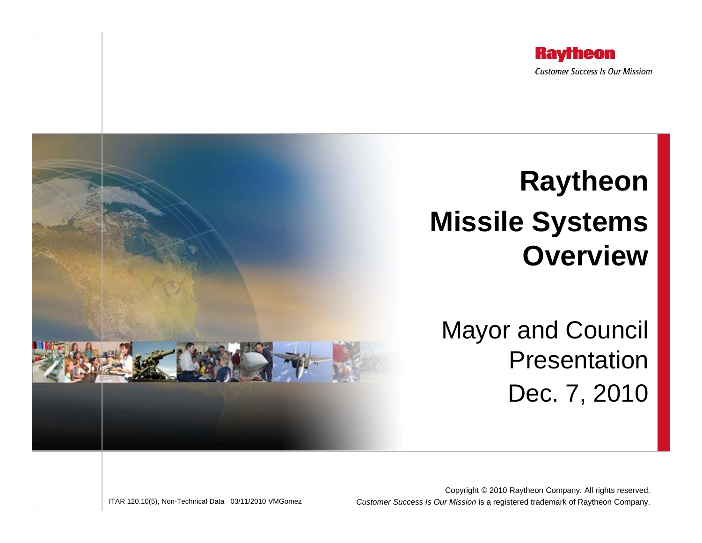

# **Raytheon Missile Systems Overview**

Mayor and Council PresentationDec. 7, 2010

ITAR 120.10(5), Non-Technical Data 03/11/2010 VMGomez

Copyright © 2010 Raytheon Company. All rights reserved. Customer Success Is Our Mission is a registered trademark of Raytheon Company.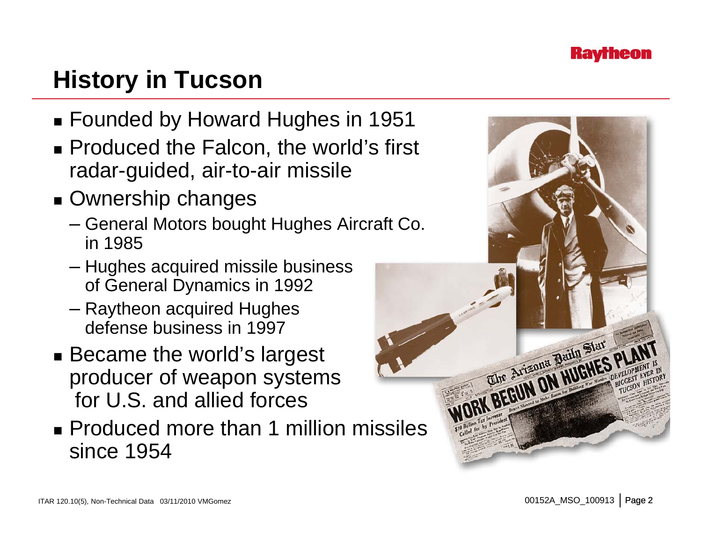

## **History in Tucson**

- Founded by Howard Hughes in 1951
- Produced the Falcon, the world's first radar-guided, air-to-air missile
- Ownership changes
	- General Motors bought Hughes Aircraft Co. in 1985
	- Hughes acquired missile business of General Dynamics in 1992
	- Raytheon acquired Hughes defense business in 1997
- Became the world's largest producer of weapon systems for U.S. and allied forces
- **Produced more than 1 million missiles** since 1954

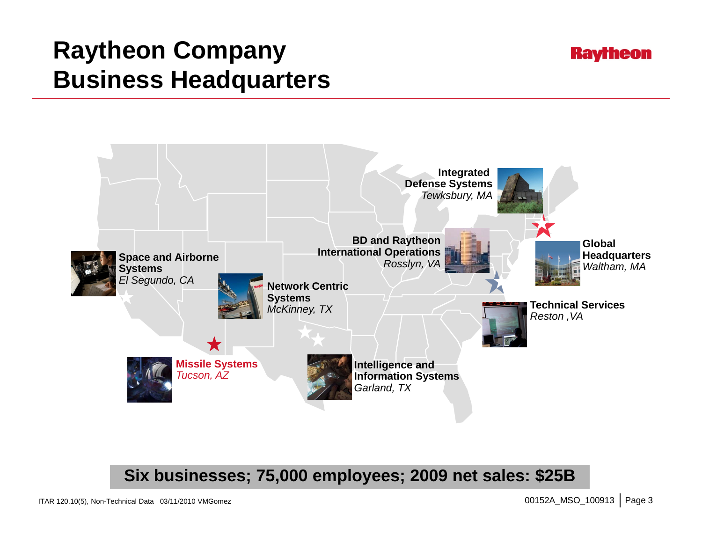## **Raytheon Company Business Headquarters**





**Six businesses; 75,000 employees; 2009 net sales: \$25B**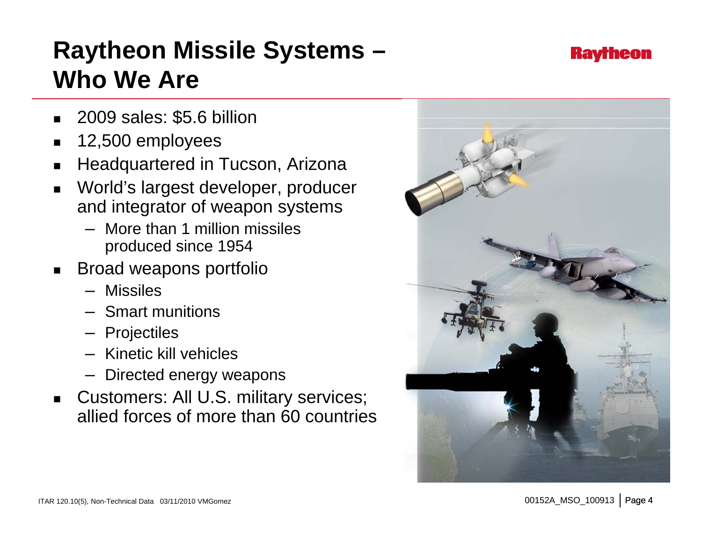## **Raytheon Missile Systems – Who We Are**

- 2009 sales: \$5.6 billion
- 12,500 employees
- ▉ Headquartered in Tucson, Arizona
- World's largest developer, producer and integrator of weapon systems
	- More than 1 million missiles produced since 1954
- $\textcolor{red}{\bullet}$  Broad weapons portfolio
	- Missiles
	- Smart munitions
	- Projectiles
	- Kinetic kill vehicles
	- Directed energy weapons
- Customers: All U.S. military services; allied forces of more than 60 countries



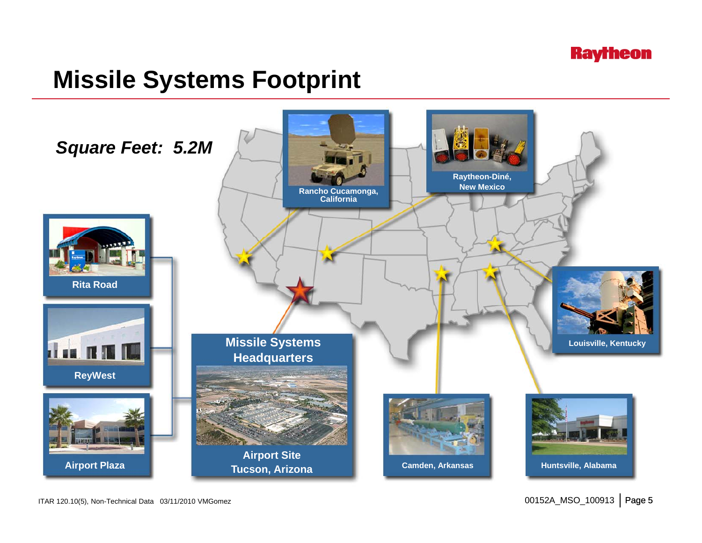

### **Missile Systems Footprint**

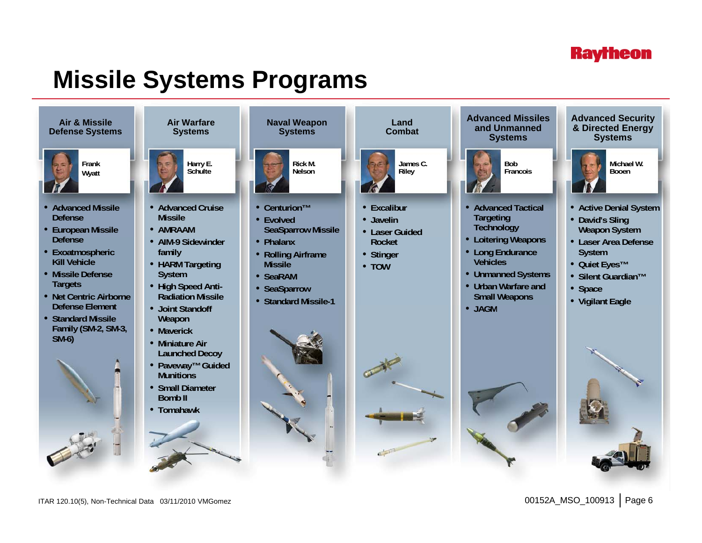### **Raytheon**

### **Missile Systems Programs**



ITAR 120.10(5), Non-Technical Data 03/11/2010 VMGomez 00152A\_MSO\_100913 Page 6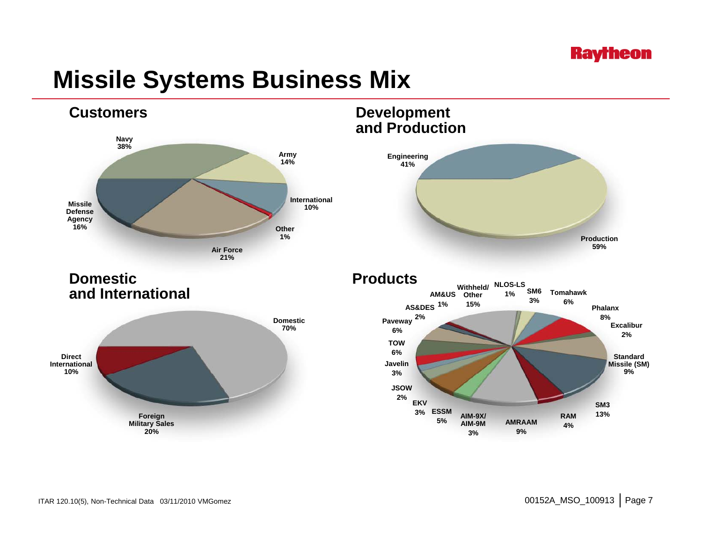### **Raytheon**

### **Missile Systems Business Mix**

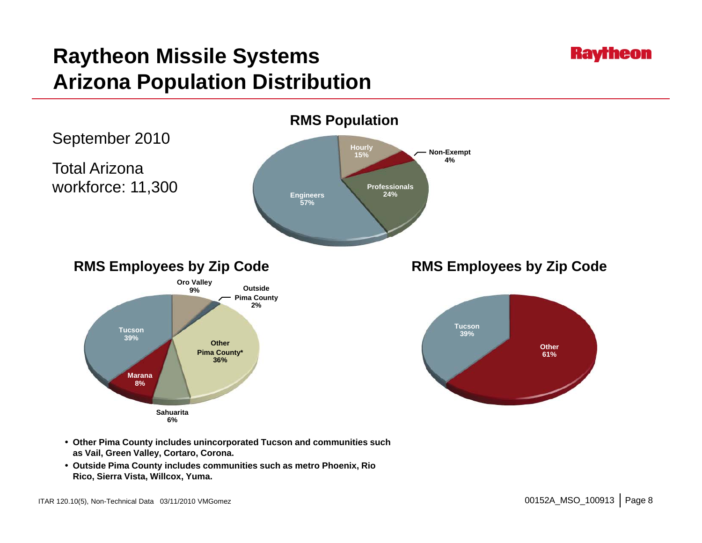### **Raytheon**

### **Raytheon Missile Systems Arizona Population Distribution**



- **Other Pima County includes unincorporated Tucson and communities such communities as Vail, Green Valley, Cortaro, Corona.**
- **Outside Pima County includes communities such as metro Phoenix, Rio Rico, Sierra Vista, Willcox, Yuma.**